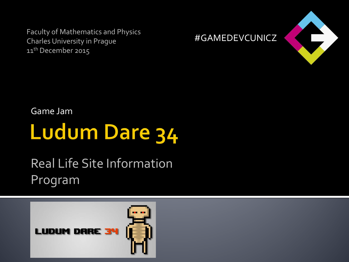Faculty of Mathematics and Physics Charles University in Prague 11<sup>th</sup> December 2015





Game Jam

# **Ludum Dare 34**

#### Real Life Site Information Program

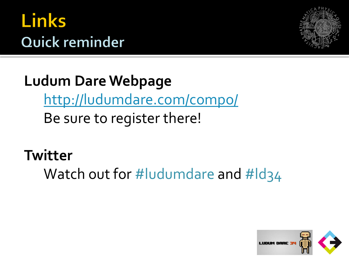## **Links** Quick reminder



**Ludum Dare Webpage** <http://ludumdare.com/compo/> Be sure to register there!

**Twitter**

Watch out for #ludumdare and #ld34

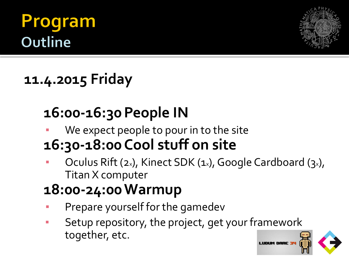### **ogram Outline**



#### **11.4.2015 Friday**

### **16:00-16:30 People IN**

We expect people to pour in to the site

#### **16:30-18:00 Cool stuff on site**

Oculus Rift ( $2x$ ), Kinect SDK ( $1x$ ), Google Cardboard ( $3x$ ), Titan X computer

#### **18:00-24:00Warmup**

- Prepare yourself for the gamedev
- Setup repository, the project, get your framework together, etc.

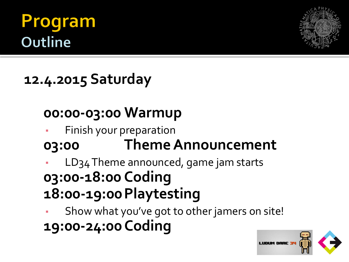### rogram Outline



#### **12.4.2015 Saturday**

#### **00:00-03:00 Warmup**

- Finish your preparation
- **03:00 Theme Announcement**
- LD34 Theme announced, game jam starts **03:00-18:00 Coding 18:00-19:00Playtesting**

Show what you've got to other jamers on site! **19:00-24:00Coding**

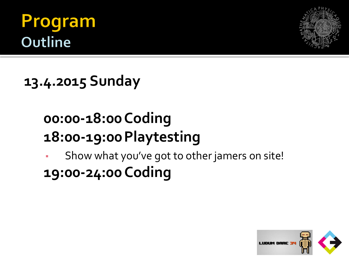### Program Outline



**13.4.2015 Sunday**

#### **00:00-18:00Coding 18:00-19:00Playtesting**

Show what you've got to other jamers on site! **19:00-24:00Coding**

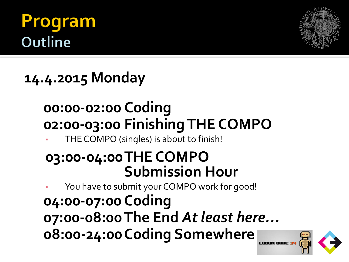### rogram **Outline**



**14.4.2015 Monday**

#### **00:00-02:00 Coding 02:00-03:00 Finishing THE COMPO**

THE COMPO (singles) is about to finish!

#### **03:00-04:00THE COMPO Submission Hour**

You have to submit your COMPO work for good!

**04:00-07:00 Coding 07:00-08:00The End** *At least here…* **08:00-24:00Coding Somewhere**

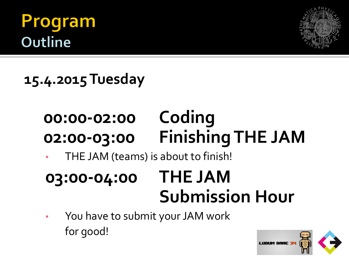### Program **Outline**



**15.4.2015 Tuesday**

# **00:00-02:00 Coding 02:00-03:00 Finishing THE JAM**

THE JAM (teams) is about to finish!

### **03:00-04:00 THE JAM Submission Hour**

You have to submit your JAM work for good!

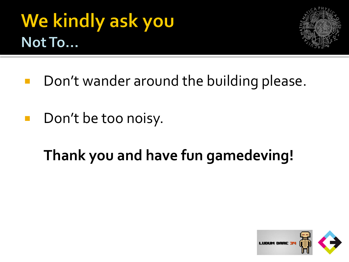# We kindly ask you Not To...



- Don't wander around the building please.
- **Don't be too noisy.**

### **Thank you and have fun gamedeving!**